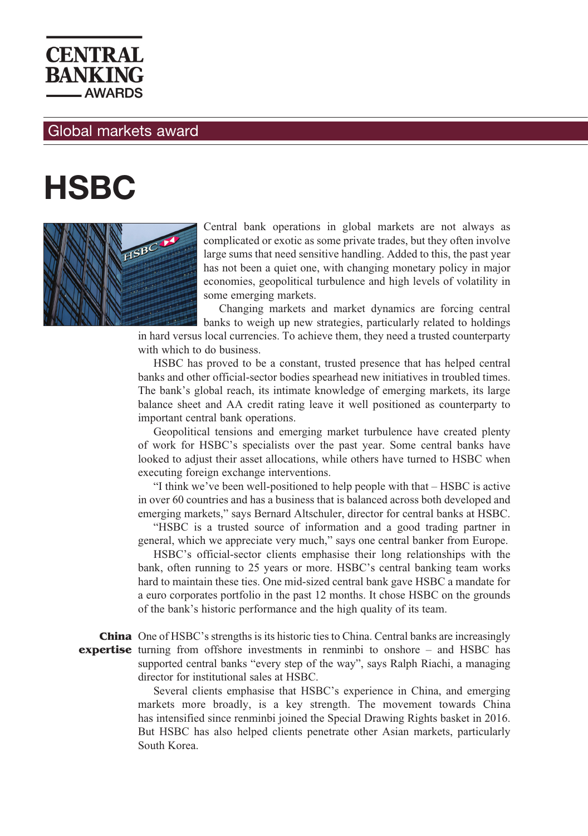

## Global markets award

## **HSBC**



Central bank operations in global markets are not always as complicated or exotic as some private trades, but they often involve large sums that need sensitive handling. Added to this, the past year has not been a quiet one, with changing monetary policy in major economies, geopolitical turbulence and high levels of volatility in some emerging markets.

Changing markets and market dynamics are forcing central banks to weigh up new strategies, particularly related to holdings

in hard versus local currencies. To achieve them, they need a trusted counterparty with which to do business.

HSBC has proved to be a constant, trusted presence that has helped central banks and other official-sector bodies spearhead new initiatives in troubled times. The bank's global reach, its intimate knowledge of emerging markets, its large balance sheet and AA credit rating leave it well positioned as counterparty to important central bank operations.

Geopolitical tensions and emerging market turbulence have created plenty of work for HSBC's specialists over the past year. Some central banks have looked to adjust their asset allocations, while others have turned to HSBC when executing foreign exchange interventions.

"I think we've been well-positioned to help people with that – HSBC is active in over 60 countries and has a business that is balanced across both developed and emerging markets," says Bernard Altschuler, director for central banks at HSBC.

"HSBC is a trusted source of information and a good trading partner in general, which we appreciate very much," says one central banker from Europe.

HSBC's official-sector clients emphasise their long relationships with the bank, often running to 25 years or more. HSBC's central banking team works hard to maintain these ties. One mid-sized central bank gave HSBC a mandate for a euro corporates portfolio in the past 12 months. It chose HSBC on the grounds of the bank's historic performance and the high quality of its team.

**China** One of HSBC's strengths is its historic ties to China. Central banks are increasingly **expertise** turning from offshore investments in renminbi to onshore – and HSBC has supported central banks "every step of the way", says Ralph Riachi, a managing director for institutional sales at HSBC.

> Several clients emphasise that HSBC's experience in China, and emerging markets more broadly, is a key strength. The movement towards China has intensified since renminbi joined the Special Drawing Rights basket in 2016. But HSBC has also helped clients penetrate other Asian markets, particularly South Korea.